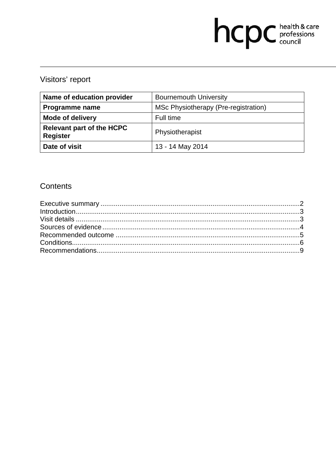# hcpc health & care

# Visitors' report

| Name of education provider                          | <b>Bournemouth University</b>        |
|-----------------------------------------------------|--------------------------------------|
| Programme name                                      | MSc Physiotherapy (Pre-registration) |
| <b>Mode of delivery</b>                             | Full time                            |
| <b>Relevant part of the HCPC</b><br><b>Register</b> | Physiotherapist                      |
| Date of visit                                       | 13 - 14 May 2014                     |

# Contents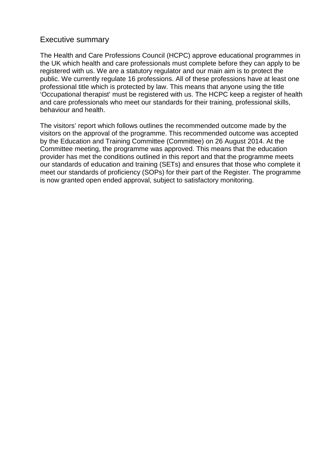#### Executive summary

The Health and Care Professions Council (HCPC) approve educational programmes in the UK which health and care professionals must complete before they can apply to be registered with us. We are a statutory regulator and our main aim is to protect the public. We currently regulate 16 professions. All of these professions have at least one professional title which is protected by law. This means that anyone using the title 'Occupational therapist' must be registered with us. The HCPC keep a register of health and care professionals who meet our standards for their training, professional skills, behaviour and health.

The visitors' report which follows outlines the recommended outcome made by the visitors on the approval of the programme. This recommended outcome was accepted by the Education and Training Committee (Committee) on 26 August 2014. At the Committee meeting, the programme was approved. This means that the education provider has met the conditions outlined in this report and that the programme meets our standards of education and training (SETs) and ensures that those who complete it meet our standards of proficiency (SOPs) for their part of the Register. The programme is now granted open ended approval, subject to satisfactory monitoring.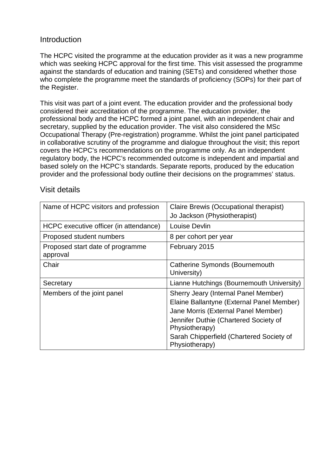### **Introduction**

The HCPC visited the programme at the education provider as it was a new programme which was seeking HCPC approval for the first time. This visit assessed the programme against the standards of education and training (SETs) and considered whether those who complete the programme meet the standards of proficiency (SOPs) for their part of the Register.

This visit was part of a joint event. The education provider and the professional body considered their accreditation of the programme. The education provider, the professional body and the HCPC formed a joint panel, with an independent chair and secretary, supplied by the education provider. The visit also considered the MSc Occupational Therapy (Pre-registration) programme. Whilst the joint panel participated in collaborative scrutiny of the programme and dialogue throughout the visit; this report covers the HCPC's recommendations on the programme only. As an independent regulatory body, the HCPC's recommended outcome is independent and impartial and based solely on the HCPC's standards. Separate reports, produced by the education provider and the professional body outline their decisions on the programmes' status.

| Name of HCPC visitors and profession         | Claire Brewis (Occupational therapist)<br>Jo Jackson (Physiotherapist)                                                                                                                                                                            |
|----------------------------------------------|---------------------------------------------------------------------------------------------------------------------------------------------------------------------------------------------------------------------------------------------------|
| HCPC executive officer (in attendance)       | Louise Devlin                                                                                                                                                                                                                                     |
| Proposed student numbers                     | 8 per cohort per year                                                                                                                                                                                                                             |
| Proposed start date of programme<br>approval | February 2015                                                                                                                                                                                                                                     |
| Chair                                        | <b>Catherine Symonds (Bournemouth</b><br>University)                                                                                                                                                                                              |
| Secretary                                    | Lianne Hutchings (Bournemouth University)                                                                                                                                                                                                         |
| Members of the joint panel                   | Sherry Jeary (Internal Panel Member)<br>Elaine Ballantyne (External Panel Member)<br>Jane Morris (External Panel Member)<br>Jennifer Duthie (Chartered Society of<br>Physiotherapy)<br>Sarah Chipperfield (Chartered Society of<br>Physiotherapy) |

#### Visit details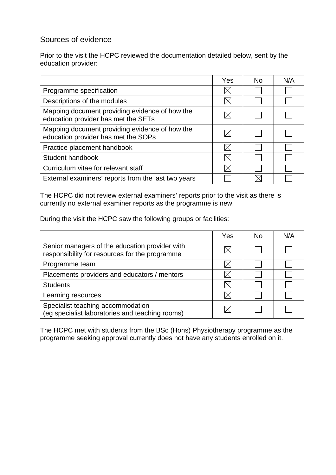# Sources of evidence

Prior to the visit the HCPC reviewed the documentation detailed below, sent by the education provider:

|                                                                                       | Yes | No. | N/A |
|---------------------------------------------------------------------------------------|-----|-----|-----|
| Programme specification                                                               |     |     |     |
| Descriptions of the modules                                                           |     |     |     |
| Mapping document providing evidence of how the<br>education provider has met the SETs |     |     |     |
| Mapping document providing evidence of how the<br>education provider has met the SOPs |     |     |     |
| Practice placement handbook                                                           |     |     |     |
| Student handbook                                                                      |     |     |     |
| Curriculum vitae for relevant staff                                                   |     |     |     |
| External examiners' reports from the last two years                                   |     |     |     |

The HCPC did not review external examiners' reports prior to the visit as there is currently no external examiner reports as the programme is new.

During the visit the HCPC saw the following groups or facilities:

|                                                                                                  | Yes | No. | N/A |
|--------------------------------------------------------------------------------------------------|-----|-----|-----|
| Senior managers of the education provider with<br>responsibility for resources for the programme |     |     |     |
| Programme team                                                                                   |     |     |     |
| Placements providers and educators / mentors                                                     |     |     |     |
| <b>Students</b>                                                                                  |     |     |     |
| Learning resources                                                                               |     |     |     |
| Specialist teaching accommodation<br>(eg specialist laboratories and teaching rooms)             |     |     |     |

The HCPC met with students from the BSc (Hons) Physiotherapy programme as the programme seeking approval currently does not have any students enrolled on it.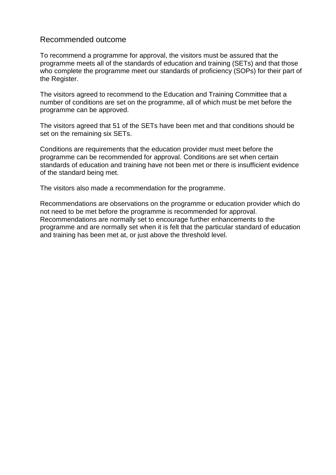#### Recommended outcome

To recommend a programme for approval, the visitors must be assured that the programme meets all of the standards of education and training (SETs) and that those who complete the programme meet our standards of proficiency (SOPs) for their part of the Register.

The visitors agreed to recommend to the Education and Training Committee that a number of conditions are set on the programme, all of which must be met before the programme can be approved.

The visitors agreed that 51 of the SETs have been met and that conditions should be set on the remaining six SETs.

Conditions are requirements that the education provider must meet before the programme can be recommended for approval. Conditions are set when certain standards of education and training have not been met or there is insufficient evidence of the standard being met.

The visitors also made a recommendation for the programme.

Recommendations are observations on the programme or education provider which do not need to be met before the programme is recommended for approval. Recommendations are normally set to encourage further enhancements to the programme and are normally set when it is felt that the particular standard of education and training has been met at, or just above the threshold level.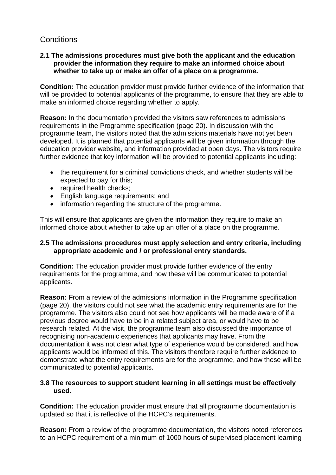# **Conditions**

#### **2.1 The admissions procedures must give both the applicant and the education provider the information they require to make an informed choice about whether to take up or make an offer of a place on a programme.**

**Condition:** The education provider must provide further evidence of the information that will be provided to potential applicants of the programme, to ensure that they are able to make an informed choice regarding whether to apply.

**Reason:** In the documentation provided the visitors saw references to admissions requirements in the Programme specification (page 20). In discussion with the programme team, the visitors noted that the admissions materials have not yet been developed. It is planned that potential applicants will be given information through the education provider website, and information provided at open days. The visitors require further evidence that key information will be provided to potential applicants including:

- the requirement for a criminal convictions check, and whether students will be expected to pay for this;
- required health checks;
- English language requirements; and
- information regarding the structure of the programme.

This will ensure that applicants are given the information they require to make an informed choice about whether to take up an offer of a place on the programme.

#### **2.5 The admissions procedures must apply selection and entry criteria, including appropriate academic and / or professional entry standards.**

**Condition:** The education provider must provide further evidence of the entry requirements for the programme, and how these will be communicated to potential applicants.

**Reason:** From a review of the admissions information in the Programme specification (page 20), the visitors could not see what the academic entry requirements are for the programme. The visitors also could not see how applicants will be made aware of if a previous degree would have to be in a related subject area, or would have to be research related. At the visit, the programme team also discussed the importance of recognising non-academic experiences that applicants may have. From the documentation it was not clear what type of experience would be considered, and how applicants would be informed of this. The visitors therefore require further evidence to demonstrate what the entry requirements are for the programme, and how these will be communicated to potential applicants.

#### **3.8 The resources to support student learning in all settings must be effectively used.**

**Condition:** The education provider must ensure that all programme documentation is updated so that it is reflective of the HCPC's requirements.

**Reason:** From a review of the programme documentation, the visitors noted references to an HCPC requirement of a minimum of 1000 hours of supervised placement learning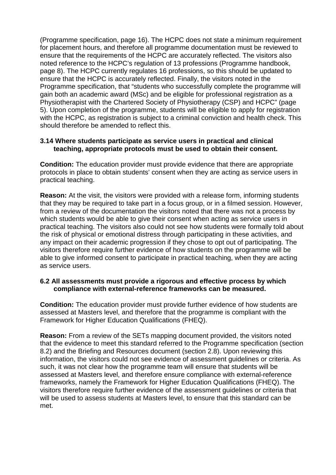(Programme specification, page 16). The HCPC does not state a minimum requirement for placement hours, and therefore all programme documentation must be reviewed to ensure that the requirements of the HCPC are accurately reflected. The visitors also noted reference to the HCPC's regulation of 13 professions (Programme handbook, page 8). The HCPC currently regulates 16 professions, so this should be updated to ensure that the HCPC is accurately reflected. Finally, the visitors noted in the Programme specification, that "students who successfully complete the programme will gain both an academic award (MSc) and be eligible for professional registration as a Physiotherapist with the Chartered Society of Physiotherapy (CSP) and HCPC" (page 5). Upon completion of the programme, students will be eligible to apply for registration with the HCPC, as registration is subject to a criminal conviction and health check. This should therefore be amended to reflect this.

#### **3.14 Where students participate as service users in practical and clinical teaching, appropriate protocols must be used to obtain their consent.**

**Condition:** The education provider must provide evidence that there are appropriate protocols in place to obtain students' consent when they are acting as service users in practical teaching.

**Reason:** At the visit, the visitors were provided with a release form, informing students that they may be required to take part in a focus group, or in a filmed session. However, from a review of the documentation the visitors noted that there was not a process by which students would be able to give their consent when acting as service users in practical teaching. The visitors also could not see how students were formally told about the risk of physical or emotional distress through participating in these activities, and any impact on their academic progression if they chose to opt out of participating. The visitors therefore require further evidence of how students on the programme will be able to give informed consent to participate in practical teaching, when they are acting as service users.

#### **6.2 All assessments must provide a rigorous and effective process by which compliance with external-reference frameworks can be measured.**

**Condition:** The education provider must provide further evidence of how students are assessed at Masters level, and therefore that the programme is compliant with the Framework for Higher Education Qualifications (FHEQ).

**Reason:** From a review of the SETs mapping document provided, the visitors noted that the evidence to meet this standard referred to the Programme specification (section 8.2) and the Briefing and Resources document (section 2.8). Upon reviewing this information, the visitors could not see evidence of assessment guidelines or criteria. As such, it was not clear how the programme team will ensure that students will be assessed at Masters level, and therefore ensure compliance with external-reference frameworks, namely the Framework for Higher Education Qualifications (FHEQ). The visitors therefore require further evidence of the assessment guidelines or criteria that will be used to assess students at Masters level, to ensure that this standard can be met.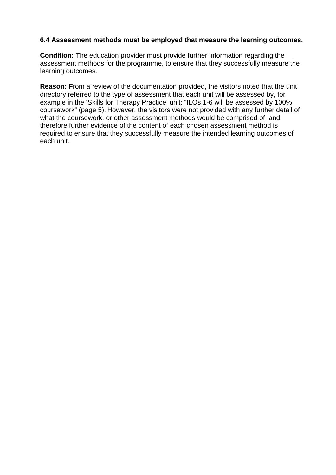#### **6.4 Assessment methods must be employed that measure the learning outcomes.**

**Condition:** The education provider must provide further information regarding the assessment methods for the programme, to ensure that they successfully measure the learning outcomes.

**Reason:** From a review of the documentation provided, the visitors noted that the unit directory referred to the type of assessment that each unit will be assessed by, for example in the 'Skills for Therapy Practice' unit; "ILOs 1-6 will be assessed by 100% coursework" (page 5). However, the visitors were not provided with any further detail of what the coursework, or other assessment methods would be comprised of, and therefore further evidence of the content of each chosen assessment method is required to ensure that they successfully measure the intended learning outcomes of each unit.